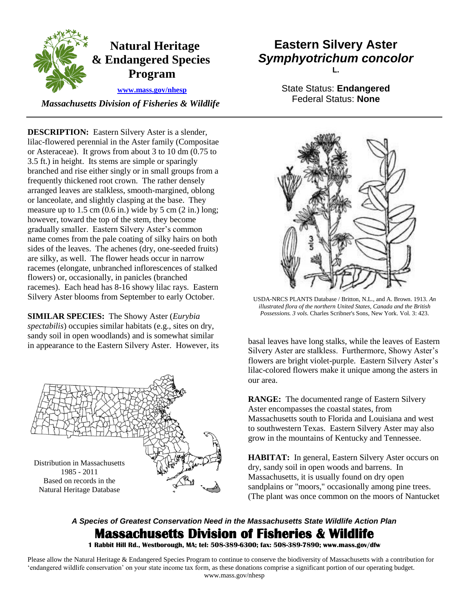

 *Massachusetts Division of Fisheries & Wildlife* 

 **DESCRIPTION:** Eastern Silvery Aster is a slender, lilac-flowered perennial in the Aster family (Compositae or lanceolate, and slightly clasping at the base. They measure up to  $1.5 \text{ cm}$  (0.6 in.) wide by  $5 \text{ cm}$  (2 in.) long; or Asteraceae). It grows from about 3 to 10 dm (0.75 to 3.5 ft.) in height. Its stems are simple or sparingly branched and rise either singly or in small groups from a frequently thickened root crown. The rather densely arranged leaves are stalkless, smooth-margined, oblong however, toward the top of the stem, they become gradually smaller. Eastern Silvery Aster's common name comes from the pale coating of silky hairs on both sides of the leaves. The achenes (dry, one-seeded fruits) are silky, as well. The flower heads occur in narrow racemes (elongate, unbranched inflorescences of stalked flowers) or, occasionally, in panicles (branched racemes). Each head has 8-16 showy lilac rays. Eastern Silvery Aster blooms from September to early October.

 **SIMILAR SPECIES:** The Showy Aster (*Eurybia spectabilis*) occupies similar habitats (e.g., sites on dry, sandy soil in open woodlands) and is somewhat similar sandy son in open woodnames) and is somewhat similar<br>in appearance to the Eastern Silvery Aster. However, its basal leaves have long stalks, while the leaves of Eastern



## **Eastern Silvery Aster**  *Symphyotrichum concolor*  **L.**

State Status: **Endangered**  Federal Status: **None** 



 USDA-NRCS PLANTS Database / Britton, N.L., and A. Brown. 1913. *An illustrated flora of the northern United States, Canada and the British Possessions. 3 vols.* Charles Scribner's Sons, New York. Vol. 3: 423.

Silvery Aster are stalkless. Furthermore, Showy Aster's flowers are bright violet-purple. Eastern Silvery Aster's lilac-colored flowers make it unique among the asters in our area.

 **RANGE:** The documented range of Eastern Silvery Aster encompasses the coastal states, from Massachusetts south to Florida and Louisiana and west to southwestern Texas. Eastern Silvery Aster may also grow in the mountains of Kentucky and Tennessee.

 **HABITAT:** In general, Eastern Silvery Aster occurs on sandplains or "moors," occasionally among pine trees. dry, sandy soil in open woods and barrens. In Massachusetts, it is usually found on dry open (The plant was once common on the moors of Nantucket

## *A Species of Greatest Conservation Need in the Massachusetts State Wildlife Action Plan*  **Massachusetts Division of Fisheries & Wildlife**

 **1 Rabbit Hill Rd., Westborough, MA; tel: 508-389-6300; fax: 508-389-7890; www.mass.gov/dfw** 

 Please allow the Natural Heritage & Endangered Species Program to continue to conserve the biodiversity of Massachusetts with a contribution for 'endangered wildlife conservation' on your state income tax form, as these donations comprise a significant portion of our operating budget. www.mass.gov/nhesp